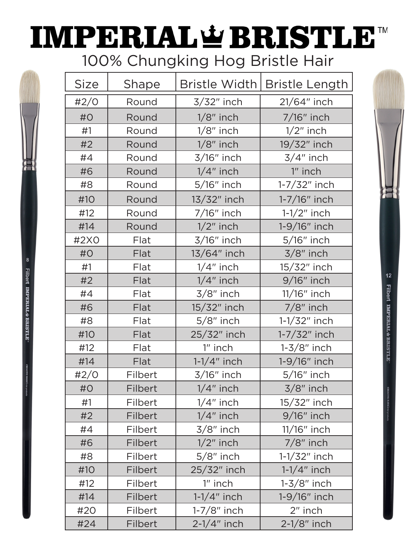## **IMPERIAL & BRISTLE™** 100% Chungking Hog Bristle Hair

| <b>Size</b> | Shape   | Bristle Width  | <b>Bristle Length</b> |
|-------------|---------|----------------|-----------------------|
| #2/O        | Round   | 3/32" inch     | 21/64" inch           |
| #O          | Round   | $1/8$ " inch   | 7/16" inch            |
| #1          | Round   | $1/8$ " inch   | $1/2$ " inch          |
| #2          | Round   | $1/8$ " inch   | 19/32" inch           |
| #4          | Round   | $3/16"$ inch   | $3/4"$ inch           |
| #6          | Round   | $1/4$ " inch   | 1" inch               |
| #8          | Round   | $5/16"$ inch   | $1 - 7/32$ " inch     |
| #10         | Round   | 13/32" inch    | 1-7/16" inch          |
| #12         | Round   | $7/16"$ inch   | $1-1/2"$ inch         |
| #14         | Round   | $1/2$ " inch   | 1-9/16" inch          |
| #2X0        | Flat    | 3/16" inch     | $5/16"$ inch          |
| #O          | Flat    | 13/64" inch    | $3/8$ " inch          |
| #1          | Flat    | $1/4$ " inch   | 15/32" inch           |
| #2          | Flat    | $1/4$ " inch   | 9/16" inch            |
| #4          | Flat    | $3/8$ " inch   | 11/16" inch           |
| #6          | Flat    | 15/32" inch    | $7/8$ " inch          |
| #8          | Flat    | $5/8$ " inch   | $1 - 1/32$ " inch     |
| #10         | Flat    | 25/32" inch    | 1-7/32" inch          |
| #12         | Flat    | 1" inch        | $1-3/8"$ inch         |
| #14         | Flat    | $1-1/4"$ inch  | 1-9/16" inch          |
| #2/O        | Filbert | 3/16" inch     | 5/16" inch            |
| #O          | Filbert | $1/4$ " inch   | $3/8$ " inch          |
| #1          | Filbert | $1/4$ " inch   | 15/32" inch           |
| #2          | Filbert | $1/4$ " inch   | $9/16"$ inch          |
| #4          | Filbert | $3/8$ " inch   | $11/16"$ inch         |
| #6          | Filbert | $1/2$ " inch   | $7/8$ " inch          |
| #8          | Filbert | $5/8$ " inch   | $1 - 1/32$ " inch     |
| #10         | Filbert | 25/32" inch    | $1-1/4$ " inch        |
| #12         | Filbert | $1"$ inch      | $1-3/8"$ inch         |
| #14         | Filbert | $1-1/4$ " inch | $1-9/16"$ inch        |
| #20         | Filbert | $1-7/8$ " inch | 2" inch               |
| #24         | Filbert | $2-1/4"$ inch  | $2-1/8"$ inch         |

8

**Filbert IMPERIAL & BRISTLE** 



 $12$ **Filbert IMPERIAL #BRISTLE**